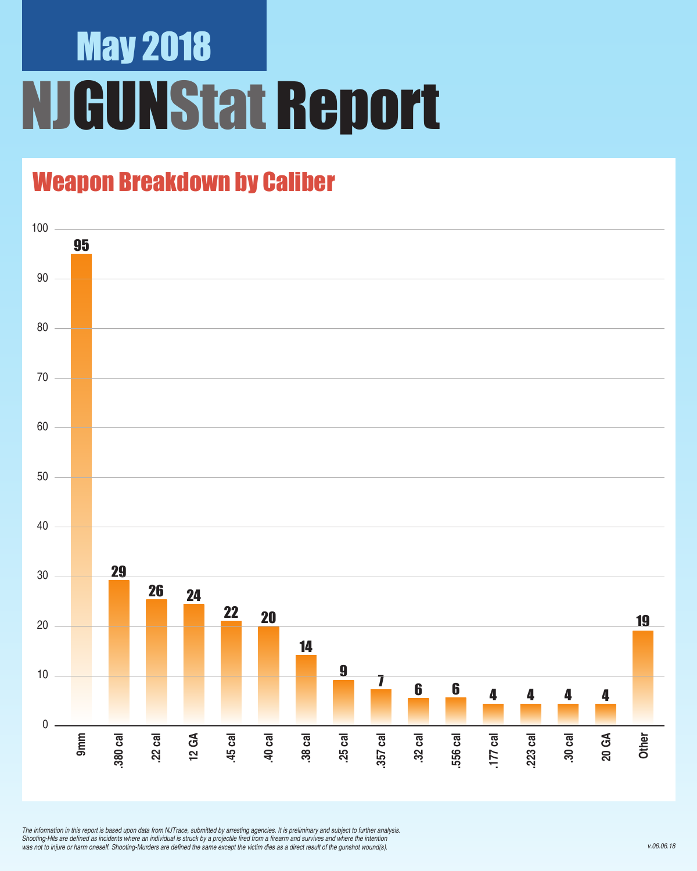# May 2018 **JGUNStat Report**

## Weapon Breakdown by Caliber



*The information in this report is based upon data from NJTrace, submitted by arresting agencies. It is preliminary and subject to further analysis.*  Shooting-Hits are defined as incidents where an individual is struck by a projectile fired from a firearm and survives and where the intention was not to injure or harm oneself. Shooting-Murders are defined the same except the victim dies as a direct result of the gunshot wound(s).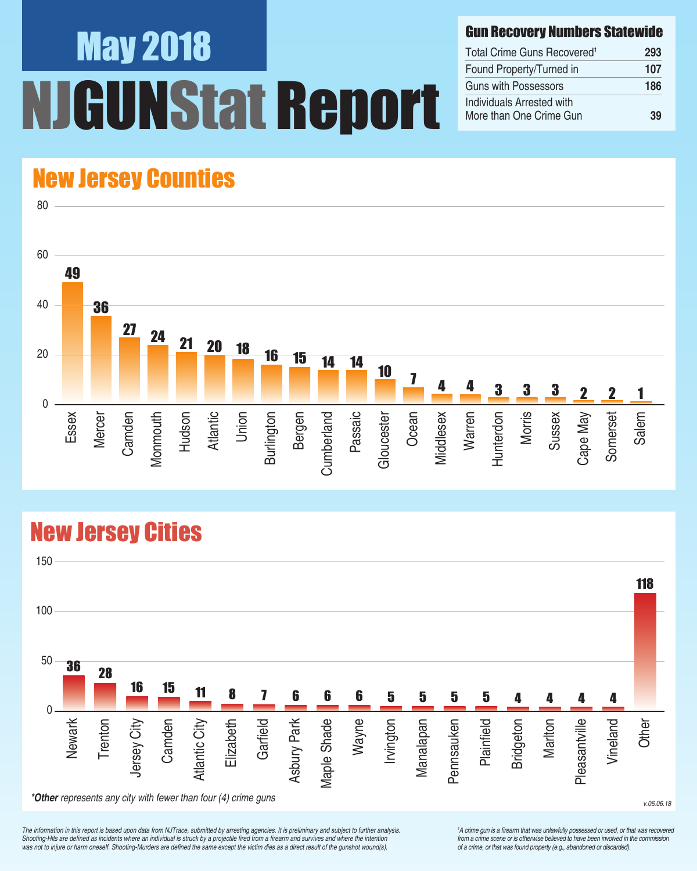# May 2018 UNStat Report

#### Gun Recovery Numbers Statewide

| Total Crime Guns Recovered <sup>1</sup>              | 293 |
|------------------------------------------------------|-----|
| Found Property/Turned in                             | 107 |
| <b>Guns with Possessors</b>                          | 186 |
| Individuals Arrested with<br>More than One Crime Gun | 39  |

## New Jersey Counties

80



## New Jersey Cities



*The information in this report is based upon data from NJTrace, submitted by arresting agencies. It is preliminary and subject to further analysis.*  Shooting-Hits are defined as incidents where an individual is struck by a projectile fired from a firearm and survives and where the intention was not to injure or harm oneself. Shooting-Murders are defined the same except the victim dies as a direct result of the gunshot wound(s).

<sup>1</sup>A crime gun is a firearm that was unlawfully possessed or used, or that was recovered from a crime scene or is otherwise believed to have been involved in the commission *of a crime, or that was found property (e.g., abandoned or discarded).*